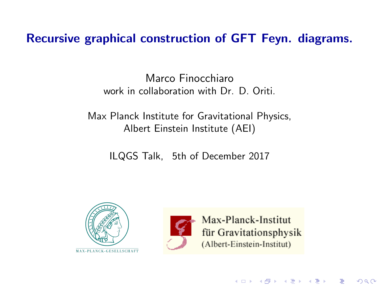Recursive graphical construction of GFT Feyn. diagrams.

Marco Finocchiaro work in collaboration with Dr. D. Oriti.

Max Planck Institute for Gravitational Physics, Albert Einstein Institute (AEI)

ILQGS Talk, 5th of December 2017





Max-Planck-Institut für Gravitationsphysik (Albert-Einstein-Institut)

メロト メ都 トメ 君 トメ 君 トー

造

 $290$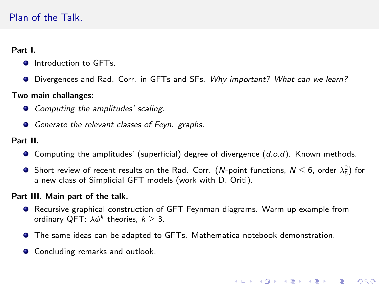# Plan of the Talk.

#### Part I.

- **O** Introduction to GFTs.
- O Divergences and Rad. Corr. in GFTs and SFs. Why important? What can we learn?

#### Two main challanges:

- **•** Computing the amplitudes' scaling.
- Generate the relevant classes of Feyn. graphs.

#### Part II.

- $\bullet$  Computing the amplitudes' (superficial) degree of divergence  $(d.o.d)$ . Known methods.
- Short review of recent results on the Rad. Corr. (*N*-point functions,  $N \le 6$ , order  $\lambda_5^2$ ) for a new class of Simplicial GFT models (work with D. Oriti).

#### Part III. Main part of the talk.

- Recursive graphical construction of GFT Feynman diagrams. Warm up example from ordinary QFT:  $\lambda \phi^k$  theories,  $k \geq 3$ .
- The same ideas can be adapted to GFTs. Mathematica notebook demonstration.
- Concluding remarks and outlook.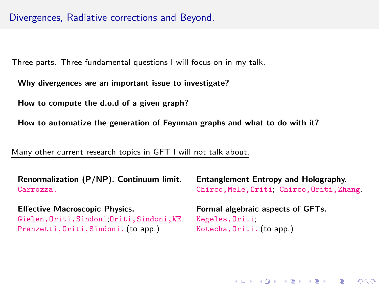# Divergences, Radiative corrections and Beyond.

Three parts. Three fundamental questions I will focus on in my talk.

Why divergences are an important issue to investigate?

How to compute the d.o.d of a given graph?

How to automatize the generation of Feynman graphs and what to do with it?

Many other current research topics in GFT I will not talk about.

| Renormalization (P/NP). Continuum limit.  | Entanglement Entropy and Holography.     |  |  |
|-------------------------------------------|------------------------------------------|--|--|
| Carrozza.                                 | Chirco, Mele, Oriti Chirco, Oriti, Zhang |  |  |
| <b>Effective Macroscopic Physics.</b>     | Formal algebraic aspects of GFTs.        |  |  |
| Gielen, Oriti, Sindoni Oriti, Sindoni, WE | Kegeles, Oriti                           |  |  |
| Pranzetti, Oriti, Sindoni. (to app.)      | Kotecha, Oriti. (to app.)                |  |  |

(ロ) (御) (君) (君) (君) 君 のぬの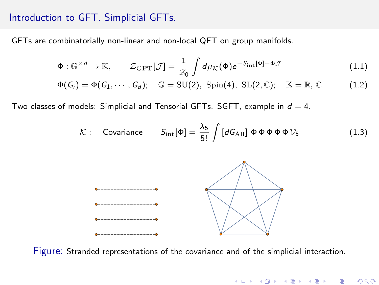## Introduction to GFT. Simplicial GFTs.

GFTs are combinatorially non-linear and non-local QFT on group manifolds.

$$
\Phi: \mathbb{G}^{\times d} \to \mathbb{K}, \qquad \mathcal{Z}_{\text{GFT}}[\mathcal{J}] = \frac{1}{\mathcal{Z}_0} \int d\mu_{\mathcal{K}}(\Phi) e^{-S_{\text{int}}[\Phi] - \Phi \mathcal{J}}
$$
(1.1)

$$
\Phi(G_i) = \Phi(G_1, \cdots, G_d); \quad \mathbb{G} = \mathrm{SU}(2), \; \mathrm{Spin}(4), \; \mathrm{SL}(2,\mathbb{C}); \quad \mathbb{K} = \mathbb{R}, \mathbb{C} \tag{1.2}
$$

Two classes of models: Simplicial and Tensorial GFTs. SGFT, example in  $d = 4$ .

$$
\mathcal{K}: \quad \text{Covariance} \qquad S_{\text{int}}[\Phi] = \frac{\lambda_5}{5!} \int [dG_{\text{All}}] \ \Phi \ \Phi \ \Phi \ \Phi \ \psi_5 \tag{1.3}
$$

メロメ メ都 メイモメ メモメ

 $299$ 

准



Figure: Stranded representations of the covariance and of the simplicial interaction.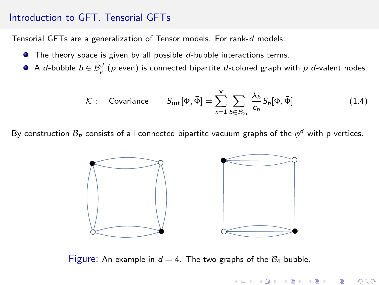## Introduction to GFT. Tensorial GFTs

Tensorial GFTs are a generalization of Tensor models. For rank-d models:

- $\bullet$  The theory space is given by all possible  $d$ -bubble interactions terms.
- A *d-*bubble  $b \in \mathcal{B}_{p}^{d}$  ( $p$  even) is connected bipartite *d-*colored graph with  $p$  *d-*valent nodes.

$$
\mathcal{K}: \quad \text{Covariance} \qquad S_{\text{int}}[\Phi, \bar{\Phi}] = \sum_{n=1}^{\infty} \sum_{b \in \mathcal{B}_{2n}} \frac{\lambda_b}{c_b} S_b[\Phi, \bar{\Phi}] \tag{1.4}
$$

メロト メ都ト メミト メミト

重

 $290$ 

By construction  $\mathcal{B}_\rho$  consists of all connected bipartite vacuum graphs of the  $\phi^d$  with p vertices.



Figure: An example in  $d = 4$ . The two graphs of the  $B_4$  bubble.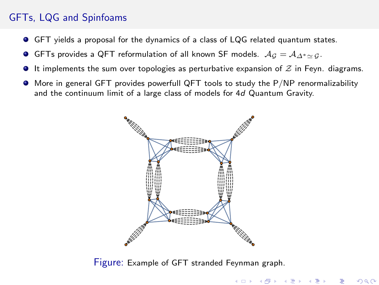# GFTs, LQG and Spinfoams

- GFT yields a proposal for the dynamics of a class of LQG related quantum states.
- GFTs provides a QFT reformulation of all known SF models.  $A_G = A_{\Delta^* \simeq G}$ .
- $\bullet$  It implements the sum over topologies as perturbative expansion of  $\mathcal Z$  in Feyn. diagrams.
- More in general GFT provides powerfull QFT tools to study the P/NP renormalizability and the continuum limit of a large class of models for 4d Quantum Gravity.



Figure: Example of GFT stranded Feynman graph.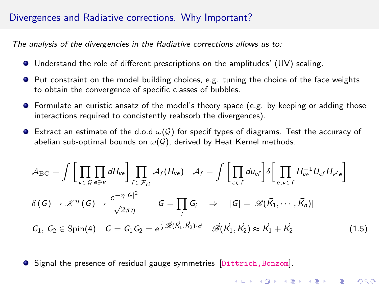## Divergences and Radiative corrections. Why Important?

The analysis of the divergencies in the Radiative corrections allows us to:

- Understand the role of different prescriptions on the amplitudes' (UV) scaling.
- Put constraint on the model building choices, e.g. tuning the choice of the face weights to obtain the convergence of specific classes of bubbles.
- Formulate an euristic ansatz of the model's theory space (e.g. by keeping or adding those interactions required to concistently reabsorb the divergences).
- **Extract an estimate of the d.o.d**  $\omega(G)$  **for specif types of diagrams. Test the accuracy of** abelian sub-optimal bounds on  $\omega(\mathcal{G})$ , derived by Heat Kernel methods.

$$
\mathcal{A}_{\rm BC} = \int \left[ \prod_{v \in \mathcal{G}} \prod_{e \ni v} dH_{ve} \right] \prod_{f \in \mathcal{F}_{\rm cl}} \mathcal{A}_f(H_{ve}) \quad \mathcal{A}_f = \int \left[ \prod_{e \in f} d u_{e f} \right] \delta \left[ \prod_{e, v \in f} H_{ve}^{-1} U_{e f} H_{v' e} \right]
$$

$$
\delta(G) \to \mathcal{K}^{\eta}(G) \to \frac{e^{-\eta |G|^2}}{\sqrt{2\pi \eta}} \qquad G = \prod_{i} G_i \quad \Rightarrow \quad |G| = |\mathcal{B}(\vec{K}_1, \dots, \vec{K}_n)|
$$

$$
G_1, G_2 \in \text{Spin}(4) \quad G = G_1 G_2 = e^{\frac{i}{2} \mathcal{B}(\vec{K}_1, \vec{K}_2) \cdot \vec{\sigma}} \quad \mathcal{B}(\vec{K}_1, \vec{K}_2) \approx \vec{K}_1 + \vec{K}_2 \tag{1.5}
$$

**•** Signal the presence of residual gauge symmetries [Dittrich, Bonzom].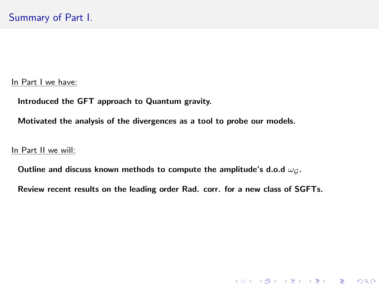In Part I we have:

Introduced the GFT approach to Quantum gravity.

Motivated the analysis of the divergences as a tool to probe our models.

In Part II we will:

Outline and discuss known methods to compute the amplitude's d.o.d  $\omega_G$ .

Review recent results on the leading order Rad. corr. for a new class of SGFTs.

(ロ) (御) (君) (君) (君) 君 のぬの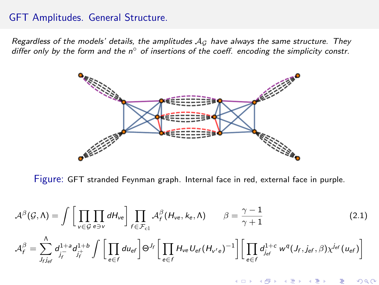## GFT Amplitudes. General Structure.

Regardless of the models' details, the amplitudes  $A_G$  have always the same structure. They differ only by the form and the  $n^{\circ}$  of insertions of the coeff. encoding the simplicity constr.

![](_page_8_Figure_2.jpeg)

Figure: GFT stranded Feynman graph. Internal face in red, external face in purple.

$$
\mathcal{A}^{\beta}(\mathcal{G}, \Lambda) = \int \left[ \prod_{v \in \mathcal{G}} \prod_{e \ni v} dH_{ve} \right] \prod_{f \in \mathcal{F}_{c1}} \mathcal{A}_f^{\beta}(H_{ve}, k_e, \Lambda) \qquad \beta = \frac{\gamma - 1}{\gamma + 1}
$$
(2.1)  

$$
\mathcal{A}_f^{\beta} = \sum_{f_i \neq f}^{\Lambda} d_{j_f}^{1 + \delta} d_{j_f}^{1 + \delta} \int \left[ \prod_{e \in f} d u_{e f} \right] \Theta^{J_f} \left[ \prod_{e \in f} H_{ve} U_{e f} (H_{v' e})^{-1} \right] \left[ \prod_{e \in f} d_{j_{e f}}^{1 + c} w^q (J_f, j_{e f}, \beta) \chi^{J_{e f}} (u_{e f}) \right]
$$

K ロ K K @ K K R K X R K

 $299$ 

重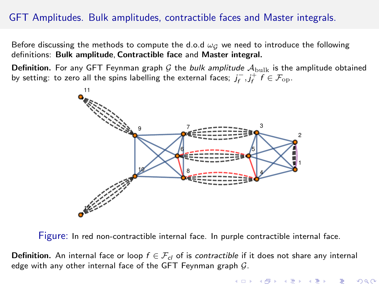# GFT Amplitudes. Bulk amplitudes, contractible faces and Master integrals.

Before discussing the methods to compute the d.o.d  $\omega_G$  we need to introduce the following definitions: Bulk amplitude, Contractible face and Master integral.

**Definition.** For any GFT Feynman graph G the bulk amplitude  $A_{\text{bulk}}$  is the amplitude obtained by setting: to zero all the spins labelling the external faces;  $j_f^-, j_f^+$   $f \in \mathcal{F}_{\text{op}}$ .

![](_page_9_Figure_3.jpeg)

Figure: In red non-contractible internal face. In purple contractible internal face.

**Definition.** An internal face or loop  $f \in \mathcal{F}_{cl}$  of is contractible if it does not share any internal edge with any other internal face of the GFT Feynman graph  $G$ .

K ロ K K d K K K B K X B K X B H

 $2Q$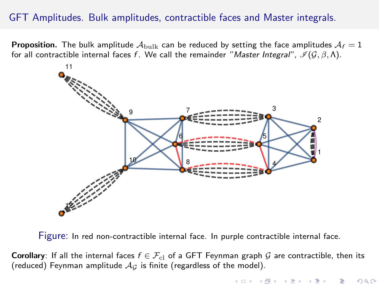# GFT Amplitudes. Bulk amplitudes, contractible faces and Master integrals.

**Proposition.** The bulk amplitude  $\mathcal{A}_{\text{bulk}}$  can be reduced by setting the face amplitudes  $\mathcal{A}_f = 1$ for all contractible internal faces f. We call the remainder "Master Integral",  $\mathcal{I}(\mathcal{G}, \beta, \Lambda)$ .

![](_page_10_Figure_2.jpeg)

Figure: In red non-contractible internal face. In purple contractible internal face.

**Corollary:** If all the internal faces  $f \in \mathcal{F}_{c}$  of a GFT Feynman graph G are contractible, then its (reduced) Feynman amplitude  $A_G$  is finite (regardless of the model).

K ロ K K 優 K K 평 K K 평 K (

 $2Q$ 

造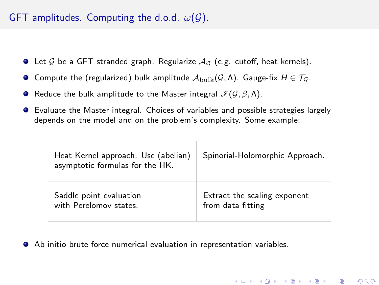# GFT amplitudes. Computing the d.o.d.  $\omega(G)$ .

- $\bullet$  Let G be a GFT stranded graph. Regularize  $A_G$  (e.g. cutoff, heat kernels).
- **O** Compute the (regularized) bulk amplitude  $\mathcal{A}_{\text{bulk}}(\mathcal{G}, \Lambda)$ . Gauge-fix  $H \in \mathcal{T}_\mathcal{G}$ .
- **•** Reduce the bulk amplitude to the Master integral  $\mathcal{I}(\mathcal{G}, \beta, \Lambda)$ .
- Evaluate the Master integral. Choices of variables and possible strategies largely depends on the model and on the problem's complexity. Some example:

| Heat Kernel approach. Use (abelian)<br>asymptotic formulas for the HK. | Spinorial-Holomorphic Approach. |
|------------------------------------------------------------------------|---------------------------------|
| Saddle point evaluation                                                | Extract the scaling exponent    |
| with Perelomov states                                                  | from data fitting               |

(ロ) (個) (星) (星)

造

 $QQ$ 

Ab initio brute force numerical evaluation in representation variables.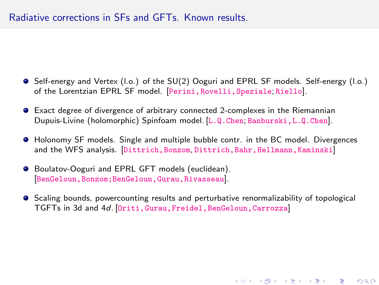## Radiative corrections in SFs and GFTs. Known results.

- Self-energy and Vertex (l.o.) of the SU(2) Ooguri and EPRL SF models. Self-energy (l.o.) of the Lorentzian EPRL SF model. [<Perini,Rovelli,Speziale>; <Riello>].
- Exact degree of divergence of arbitrary connected 2-complexes in the Riemannian Dupuis-Livine (holomorphic) Spinfoam model. [<L.Q.Chen>; <Banburski,L.Q.Chen>].
- Holonomy SF models. Single and multiple bubble contr. in the BC model. Divergences and the WFS analysis. [Dittrich, Bonzom, Dittrich, Bahr, Hellmann, Kaminski]
- Boulatov-Ooguri and EPRL GFT models (euclidean). [[BenGeloun,Bonzom;BenGeloun,Gurau,Rivasseau](Ben Geloun, Bonzom; Ben Geloun, Gurau, Rivasseau)].
- **•** Scaling bounds, powercounting results and perturbative renormalizability of topological TGFTs in 3d and 4d. [<Oriti,Gurau,Freidel,BenGeloun,Carrozza>]

세미 시세 제품 시 제품 시 제품 시 시 품 시

 $2Q$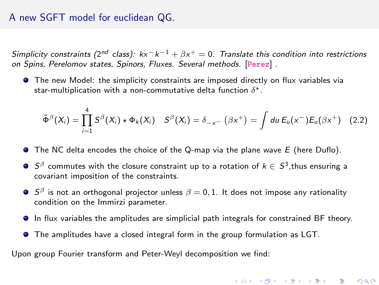## A new SGFT model for euclidean QG.

Simplicity constraints (2<sup>nd</sup> class): kx<sup>−</sup>k<sup>−1</sup> +  $\beta$ x<sup>+</sup> = 0. Translate this condition into restrictions on Spins, Perelomov states, Spinors, Fluxes. Several methods. [<Perez>] .

 $\bullet$  The new Model: the simplicity constraints are imposed directly on flux variables via star-multiplication with a non-commutative delta function  $\delta^\star.$ 

$$
\tilde{\Phi}^{\beta}(X_i)=\prod_{i=1}^4S^{\beta}(X_i)\star\Phi_k(X_i)\quad S^{\beta}(X_i)=\delta_{-x^-}\left(\beta x^+\right)=\int du\,E_u(x^-)E_u(\beta x^+)\quad (2.2)
$$

- $\bullet$  The NC delta encodes the choice of the Q-map via the plane wave  $E$  (here Duflo).
- $S^{\beta}$  commutes with the closure constraint up to a rotation of  $k \in S^3,$ thus ensuring a covariant imposition of the constraints.
- $\mathcal{S}^\beta$  is not an orthogonal projector unless  $\beta=0,1.$  It does not impose any rationality condition on the Immirzi parameter.
- In flux variables the amplitudes are simplicial path integrals for constrained BF theory.
- The amplitudes have a closed integral form in the group formulation as LGT.

Upon group Fourier transform and Peter-Weyl decomposition we find: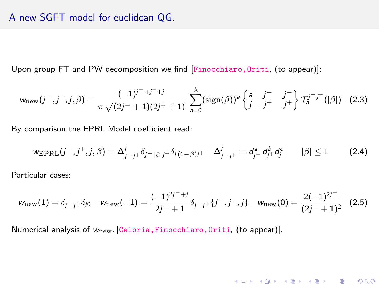## A new SGFT model for euclidean QG.

Upon group FT and PW decomposition we find [Finocchiaro, Oriti, (to appear)]:

$$
w_{\text{new}}(j^-,j^+,j,\beta) = \frac{(-1)^{j^-+j^++j}}{\pi\sqrt{(2j^-+1)(2j^++1)}} \sum_{a=0}^{\lambda} (\text{sign}(\beta))^a \begin{cases} a & j^- & j^- \\ j & j^+ \end{cases} \begin{cases} j^- & j^- \\ j^+ \end{cases} \begin{cases} 1/2,3 \end{cases}
$$

By comparison the EPRL Model coefficient read:

$$
w_{\text{EPRL}}(j^-, j^+, j, \beta) = \Delta_{j-j+}^j \delta_{j-|\beta|j^+} \delta_{j(1-\beta)j^+} \quad \Delta_{j-j+}^j = d_{j-}^a d_{j^+}^b d_j^c \qquad |\beta| \le 1 \tag{2.4}
$$

Particular cases:

$$
w_{\text{new}}(1) = \delta_{j-j} + \delta_{j0} \quad w_{\text{new}}(-1) = \frac{(-1)^{2j^-+j}}{2j^-+1} \delta_{j-j} + \{j^-, j^+, j\} \quad w_{\text{new}}(0) = \frac{2(-1)^{2j^-}}{(2j^-+1)^2} \quad (2.5)
$$

Numerical analysis of  $w<sub>new</sub>$ . [Celoria, Finocchiaro, Oriti, (to appear)].

#### ★ ロチ → 御 ⊁ → ( 평 ⊁ → 평 ⊁ → 평 )  $200$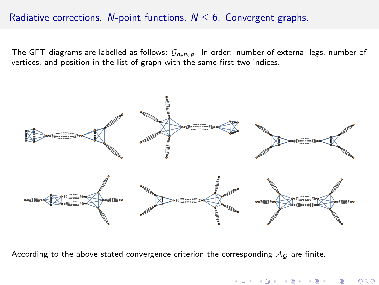# Radiative corrections. N-point functions,  $N \leq 6$ . Convergent graphs.

The GFT diagrams are labelled as follows:  $G_{n_e n_v p}$ . In order: number of external legs, number of vertices, and position in the list of graph with the same first two indices.

![](_page_15_Figure_2.jpeg)

K ロ K K 御 K K 差 K K

つへへ

According to the above stated convergence criterion the corresponding  $A_G$  are finite.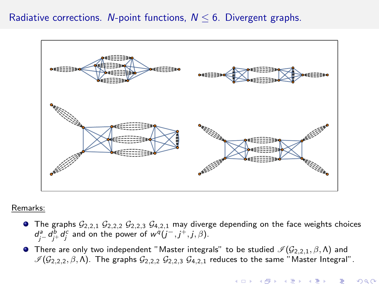## Radiative corrections. N-point functions,  $N \le 6$ . Divergent graphs.

![](_page_16_Figure_1.jpeg)

#### Remarks:

- **•** The graphs  $G_{2,2,1}$   $G_{2,2,2}$   $G_{2,2,3}$   $G_{4,2,1}$  may diverge depending on the face weights choices  $d_j^a = d_j^b + d_j^c$  and on the power of  $w^q(j^-, j^+, j, \beta)$ .
- **•** There are only two independent "Master integrals" to be studied  $\mathcal{I}(\mathcal{G}_{2,2,1}, \beta, \Lambda)$  and  $\mathcal{I}(\mathcal{G}_{2,2,2}, \beta, \Lambda)$ . The graphs  $\mathcal{G}_{2,2,2}$   $\mathcal{G}_{2,2,3}$   $\mathcal{G}_{4,2,1}$  reduces to the same "Master Integral".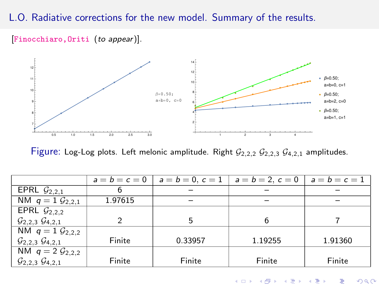# L.O. Radiative corrections for the new model. Summary of the results.

[Finocchiaro, Oriti (to appear)].

![](_page_17_Figure_2.jpeg)

Figure: Log-Log plots. Left melonic amplitude. Right  $G_{2,2,2} G_{2,2,3} G_{4,2,1}$  amplitudes.

|                                             |         | $a = b = c = 0$   $a = b = 0, c = 1$ | $a = b = 2, c = 0$ | $a=b=c=1$ |
|---------------------------------------------|---------|--------------------------------------|--------------------|-----------|
| EPRL $\mathcal{G}_{2,2,1}$                  |         |                                      |                    |           |
| NM $q = 1$ $\mathcal{G}_{2,2,1}$            | 1.97615 |                                      |                    |           |
| EPRL $\mathcal{G}_{2,2,2}$                  |         |                                      |                    |           |
| $\mathcal{G}_{2,2,3}$ $\mathcal{G}_{4,2,1}$ | っ       |                                      |                    |           |
| NM $q = 1$ $\mathcal{G}_{2,2,2}$            |         |                                      |                    |           |
| $\mathcal{G}_{2,2,3}$ $\mathcal{G}_{4,2,1}$ | Finite  | 0.33957                              | 1.19255            | 1.91360   |
| NM $q = 2 \mathcal{G}_{2,2,2}$              |         |                                      |                    |           |
| $\mathcal{G}_{2,2,3}$ $\mathcal{G}_{4,2,1}$ | Finite  | Finite                               | Finite             | Finite    |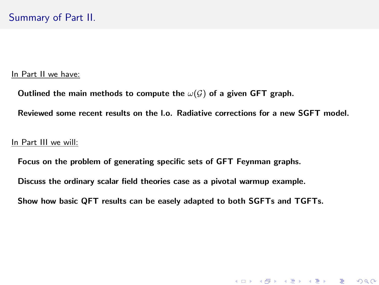#### In Part II we have:

Outlined the main methods to compute the  $\omega(\mathcal{G})$  of a given GFT graph.

Reviewed some recent results on the l.o. Radiative corrections for a new SGFT model.

#### In Part III we will:

Focus on the problem of generating specific sets of GFT Feynman graphs.

Discuss the ordinary scalar field theories case as a pivotal warmup example.

Show how basic QFT results can be easely adapted to both SGFTs and TGFTs.

(ロ) (御) (君) (君) (君) 君 のぬの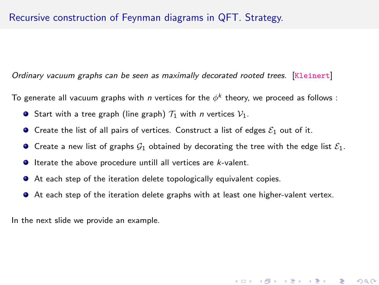Ordinary vacuum graphs can be seen as maximally decorated rooted trees. [<Kleinert>]

To generate all vacuum graphs with  $\emph{n}$  vertices for the  $\phi^k$  theory, we proceed as follows :

- **•** Start with a tree graph (line graph)  $\mathcal{T}_1$  with *n* vertices  $\mathcal{V}_1$ .
- **O** Create the list of all pairs of vertices. Construct a list of edges  $\mathcal{E}_1$  out of it.
- **O** Create a new list of graphs  $\mathcal{G}_1$  obtained by decorating the tree with the edge list  $\mathcal{E}_1$ .
- $\bullet$  Iterate the above procedure untill all vertices are  $k$ -valent.
- At each step of the iteration delete topologically equivalent copies.
- At each step of the iteration delete graphs with at least one higher-valent vertex.

In the next slide we provide an example.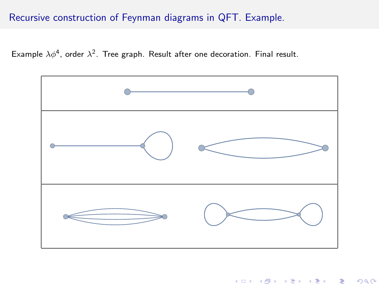# Recursive construction of Feynman diagrams in QFT. Example.

Example  $\lambda \phi^4$ , order  $\lambda^2$ . Tree graph. Result after one decoration. Final result.

![](_page_20_Figure_2.jpeg)

メロト メタト メミト メミト

 $2Q$ 

重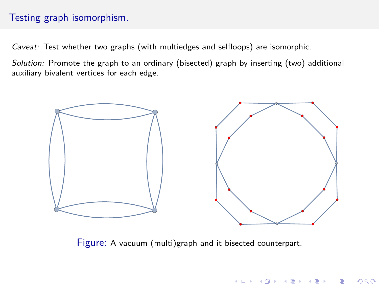# Testing graph isomorphism.

Caveat: Test whether two graphs (with multiedges and selfloops) are isomorphic.

Solution: Promote the graph to an ordinary (bisected) graph by inserting (two) additional auxiliary bivalent vertices for each edge.

![](_page_21_Figure_3.jpeg)

Figure: A vacuum (multi)graph and it bisected counterpart.

メロト メ都ト メミト メミト

 $2Q$ 

造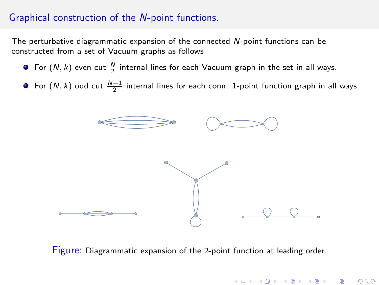# Graphical construction of the N-point functions.

The perturbative diagrammatic expansion of the connected N-point functions can be constructed from a set of Vacuum graphs as follows

- For  $(N, k)$  even cut  $\frac{N}{2}$  internal lines for each Vacuum graph in the set in all ways.
- For  $(N, k)$  odd cut  $\frac{N-1}{2}$  internal lines for each conn. 1-point function graph in all ways.

![](_page_22_Figure_4.jpeg)

Figure: Diagrammatic expansion of the 2-point function at leading order.

**K ロ ▶ | K @ ▶ | K @ ▶ | K @ ▶** 

重

 $290$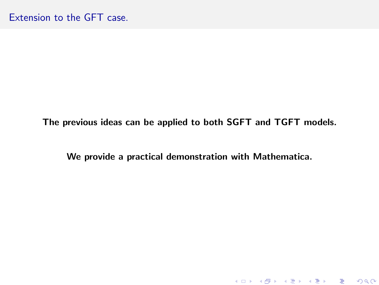The previous ideas can be applied to both SGFT and TGFT models.

We provide a practical demonstration with Mathematica.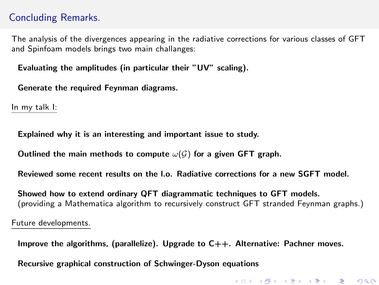# Concluding Remarks.

The analysis of the divergences appearing in the radiative corrections for various classes of GFT and Spinfoam models brings two main challanges:

Evaluating the amplitudes (in particular their "UV" scaling).

Generate the required Feynman diagrams.

In my talk I:

Explained why it is an interesting and important issue to study.

Outlined the main methods to compute  $\omega(\mathcal{G})$  for a given GFT graph.

Reviewed some recent results on the l.o. Radiative corrections for a new SGFT model.

Showed how to extend ordinary QFT diagrammatic techniques to GFT models. (providing a Mathematica algorithm to recursively construct GFT stranded Feynman graphs.)

Future developments.

Improve the algorithms, (parallelize). Upgrade to  $C_{++}$ . Alternative: Pachner moves.

Recursive graphical construction of Schwinger-Dyson equations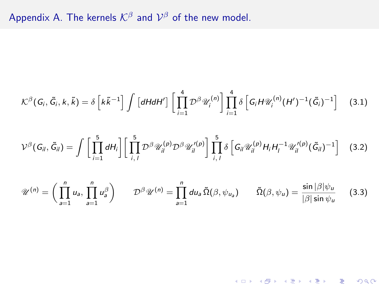Appendix A. The kernels  $\mathcal{K}^\beta$  and  $\mathcal{V}^\beta$  of the new model.

$$
\mathcal{K}^{\beta}(G_i,\tilde{G}_i,k,\tilde{k})=\delta\left[k\tilde{k}^{-1}\right]\int\left[dH dH'\right]\left[\prod_{i=1}^{4}\mathcal{D}^{\beta}\mathscr{U}_i^{(n)}\right]\prod_{i=1}^{4}\delta\left[G_iH\mathscr{U}_i^{(n)}(H')^{-1}(\tilde{G}_i)^{-1}\right]
$$
(3.1)

$$
\mathcal{V}^{\beta}(G_{il},\tilde{G}_{il})=\int\bigg[\prod_{i=1}^{5}dH_{i}\bigg]\bigg[\prod_{i,1}^{5}\mathcal{D}^{\beta}\mathcal{U}_{il}^{(p)}\mathcal{D}^{\beta}\mathcal{U}_{il}^{\prime(p)}\bigg]\prod_{i,1}^{5}\delta\bigg[G_{il}\mathcal{U}_{il}^{(p)}H_{i}H_{l}^{-1}\mathcal{U}_{il}^{\prime(p)}(\tilde{G}_{il})^{-1}\bigg]
$$
(3.2)

$$
\mathscr{U}^{(n)} = \left(\prod_{a=1}^{n} u_a, \prod_{a=1}^{n} u_a^{\beta}\right) \qquad \mathcal{D}^{\beta} \mathscr{U}^{(n)} = \prod_{a=1}^{n} du_a \,\tilde{\Omega}(\beta, \psi_{u_a}) \qquad \tilde{\Omega}(\beta, \psi_u) = \frac{\sin |\beta| \psi_u}{|\beta| \sin \psi_u} \qquad (3.3)
$$

K ロ ▶ ( d ) | K 글 ) | K 글 ) | [ 글 | 20 Q Q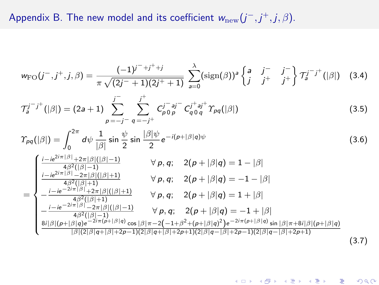# Appendix B. The new model and its coefficient  $w_{\rm new}(j^-,j^+,j,\beta)$ .

$$
w_{\rm FO}(j^-,j^+,j,\beta) = \frac{(-1)^{j^-+j^++j}}{\pi\sqrt{(2j^-+1)(2j^++1)}} \sum_{a=0}^{\lambda} (\text{sign}(\beta))^a \begin{Bmatrix} a & j^- & j^- \\ j & j^+ & j^+ \end{Bmatrix} T_a^{j^-j^+}(|\beta|) \quad (3.4)
$$

$$
\mathcal{T}_a^{j-j^+}(|\beta|) = (2a+1) \sum_{p=-j^-}^{j^-} \sum_{q=-j^+}^{j^+} C_{p\,0\,p}^{j^-} C_{q\,0\,q}^{j^+} \gamma_{pq}(|\beta|)
$$
(3.5)

$$
\varUpsilon_{pq}(|\beta|) = \int_0^{2\pi} d\psi \, \frac{1}{|\beta|} \sin \frac{\psi}{2} \sin \frac{|\beta|\psi}{2} e^{-i(p+|\beta|q)\psi} \tag{3.6}
$$

$$
= \begin{cases}\n\frac{i - ie^{2i\pi |\beta|} + 2\pi |\beta|(|\beta| - 1)}{4\beta^2(|\beta| - 1)} & \forall p, q; \quad 2(p + |\beta|q) = 1 - |\beta| \\
\frac{i - ie^{2i\pi |\beta|} - 2\pi |\beta|(|\beta| + 1)}{4\beta^2(|\beta| + 1)} & \forall p, q; \quad 2(p + |\beta|q) = -1 - |\beta| \\
-\frac{i - ie^{-2i\pi |\beta|} + 2\pi |\beta|(|\beta| + 1)}{4\beta^2(|\beta| + 1)} & \forall p, q; \quad 2(p + |\beta|q) = 1 + |\beta| \\
-\frac{i - ie^{-2i\pi |\beta|} - 2\pi |\beta|(|\beta| - 1)}{4\beta^2(|\beta| + 1)} & \forall p, q; \quad 2(p + |\beta|q) = -1 + |\beta| \\
\frac{8i|\beta|(p + |\beta|q) - 2i\pi(p + |\beta|q)}{|\beta|^2(|\beta|q + |\beta| + 2p - 1)(2|\beta|q + |\beta| + 2p + 1)(2|\beta|q - |\beta| + 2p - 1)(2|\beta|q - |\beta| + 2p + 1)}\n\end{cases}
$$
\n(3.7)

K ロ ▶ ( d ) | K 글 > | K 글 > | [ 글 | 10 Q Q |